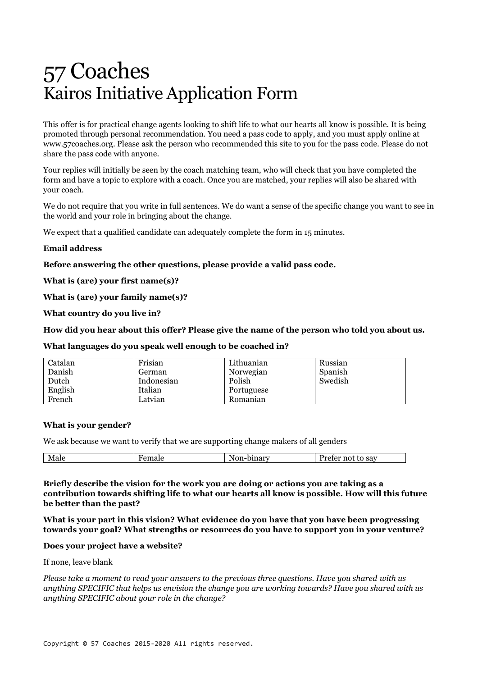# 57 Coaches Kairos Initiative Application Form

This offer is for practical change agents looking to shift life to what our hearts all know is possible. It is being promoted through personal recommendation. You need a pass code to apply, and you must apply online at www.57coaches.org. Please ask the person who recommended this site to you for the pass code. Please do not share the pass code with anyone.

Your replies will initially be seen by the coach matching team, who will check that you have completed the form and have a topic to explore with a coach. Once you are matched, your replies will also be shared with your coach.

We do not require that you write in full sentences. We do want a sense of the specific change you want to see in the world and your role in bringing about the change.

We expect that a qualified candidate can adequately complete the form in 15 minutes.

# **Email address**

**Before answering the other questions, please provide a valid pass code.**

**What is (are) your first name(s)?**

**What is (are) your family name(s)?**

**What country do you live in?**

#### **How did you hear about this offer? Please give the name of the person who told you about us.**

**What languages do you speak well enough to be coached in?**

| Catalan | Frisian    | Lithuanian | Russian |
|---------|------------|------------|---------|
| Danish  | German     | Norwegian  | Spanish |
| Dutch   | Indonesian | Polish     | Swedish |
| English | Italian    | Portuguese |         |
| French  | Latvian    | Romanian   |         |

#### **What is your gender?**

We ask because we want to verify that we are supporting change makers of all genders

| $\mathbf{M}$<br>мане | .<br>лпат<br>,,,, | sav<br>. .<br>11 U<br>$\sim$ |
|----------------------|-------------------|------------------------------|
|                      |                   |                              |

#### **Briefly describe the vision for the work you are doing or actions you are taking as a contribution towards shifting life to what our hearts all know is possible. How will this future be better than the past?**

**What is your part in this vision? What evidence do you have that you have been progressing towards your goal? What strengths or resources do you have to support you in your venture?**

#### **Does your project have a website?**

If none, leave blank

*Please take a moment to read your answers to the previous three questions. Have you shared with us anything SPECIFIC that helps us envision the change you are working towards? Have you shared with us anything SPECIFIC about your role in the change?*